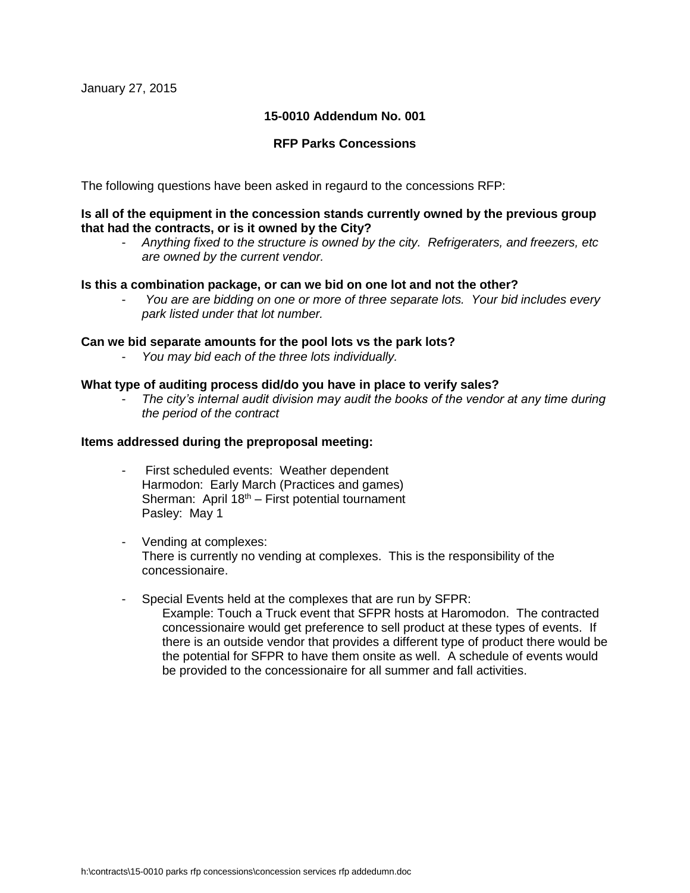## **15-0010 Addendum No. 001**

## **RFP Parks Concessions**

The following questions have been asked in regaurd to the concessions RFP:

## **Is all of the equipment in the concession stands currently owned by the previous group that had the contracts, or is it owned by the City?**

- *Anything fixed to the structure is owned by the city. Refrigeraters, and freezers, etc are owned by the current vendor.*

#### **Is this a combination package, or can we bid on one lot and not the other?**

- *You are are bidding on one or more of three separate lots. Your bid includes every park listed under that lot number.*

#### **Can we bid separate amounts for the pool lots vs the park lots?**

- *You may bid each of the three lots individually.* 

## **What type of auditing process did/do you have in place to verify sales?**

- *The city's internal audit division may audit the books of the vendor at any time during the period of the contract*

#### **Items addressed during the preproposal meeting:**

- First scheduled events: Weather dependent Harmodon: Early March (Practices and games) Sherman: April  $18<sup>th</sup>$  – First potential tournament Pasley: May 1
- Vending at complexes: There is currently no vending at complexes. This is the responsibility of the concessionaire.
- Special Events held at the complexes that are run by SFPR: Example: Touch a Truck event that SFPR hosts at Haromodon. The contracted concessionaire would get preference to sell product at these types of events. If there is an outside vendor that provides a different type of product there would be the potential for SFPR to have them onsite as well. A schedule of events would be provided to the concessionaire for all summer and fall activities.